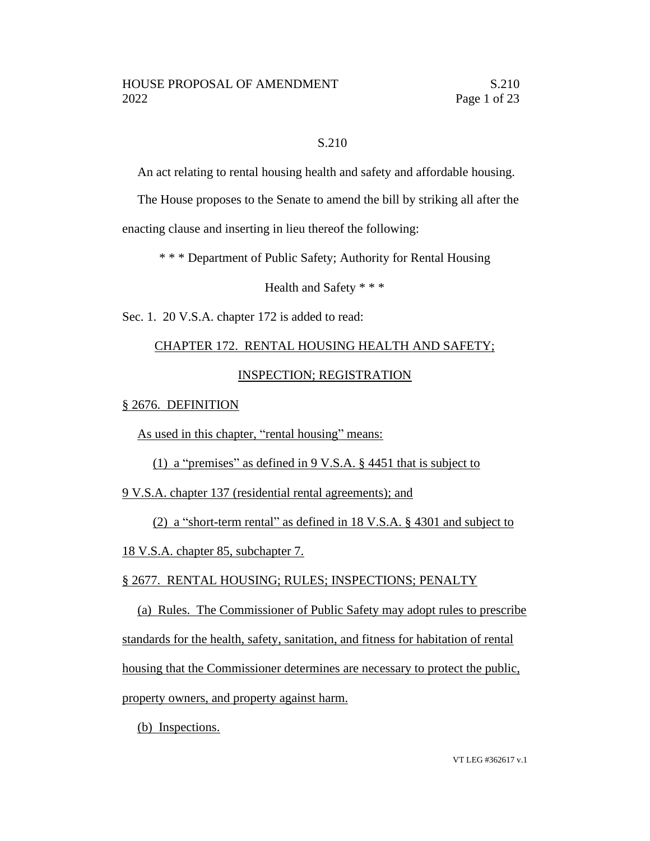## S.210

An act relating to rental housing health and safety and affordable housing.

The House proposes to the Senate to amend the bill by striking all after the

enacting clause and inserting in lieu thereof the following:

\* \* \* Department of Public Safety; Authority for Rental Housing

Health and Safety \* \* \*

Sec. 1. 20 V.S.A. chapter 172 is added to read:

# CHAPTER 172. RENTAL HOUSING HEALTH AND SAFETY;

## INSPECTION; REGISTRATION

## § 2676. DEFINITION

As used in this chapter, "rental housing" means:

## (1) a "premises" as defined in 9 V.S.A. § 4451 that is subject to

9 V.S.A. chapter 137 (residential rental agreements); and

(2) a "short-term rental" as defined in 18 V.S.A. § 4301 and subject to

18 V.S.A. chapter 85, subchapter 7.

## § 2677. RENTAL HOUSING; RULES; INSPECTIONS; PENALTY

(a) Rules. The Commissioner of Public Safety may adopt rules to prescribe standards for the health, safety, sanitation, and fitness for habitation of rental housing that the Commissioner determines are necessary to protect the public, property owners, and property against harm.

(b) Inspections.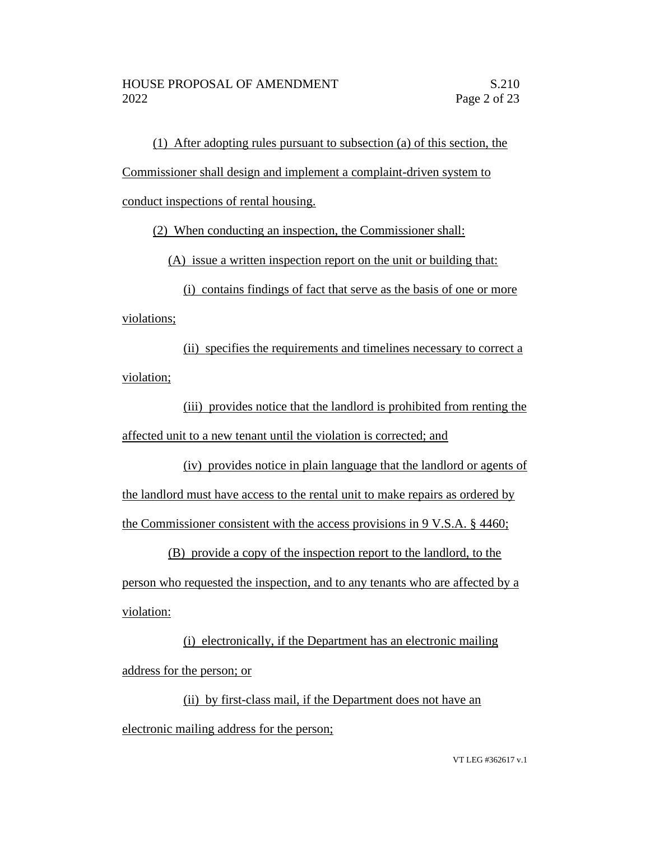(1) After adopting rules pursuant to subsection (a) of this section, the

Commissioner shall design and implement a complaint-driven system to

conduct inspections of rental housing.

(2) When conducting an inspection, the Commissioner shall:

(A) issue a written inspection report on the unit or building that:

(i) contains findings of fact that serve as the basis of one or more violations;

(ii) specifies the requirements and timelines necessary to correct a violation;

(iii) provides notice that the landlord is prohibited from renting the affected unit to a new tenant until the violation is corrected; and

(iv) provides notice in plain language that the landlord or agents of the landlord must have access to the rental unit to make repairs as ordered by the Commissioner consistent with the access provisions in 9 V.S.A. § 4460;

(B) provide a copy of the inspection report to the landlord, to the person who requested the inspection, and to any tenants who are affected by a violation:

(i) electronically, if the Department has an electronic mailing address for the person; or

(ii) by first-class mail, if the Department does not have an electronic mailing address for the person;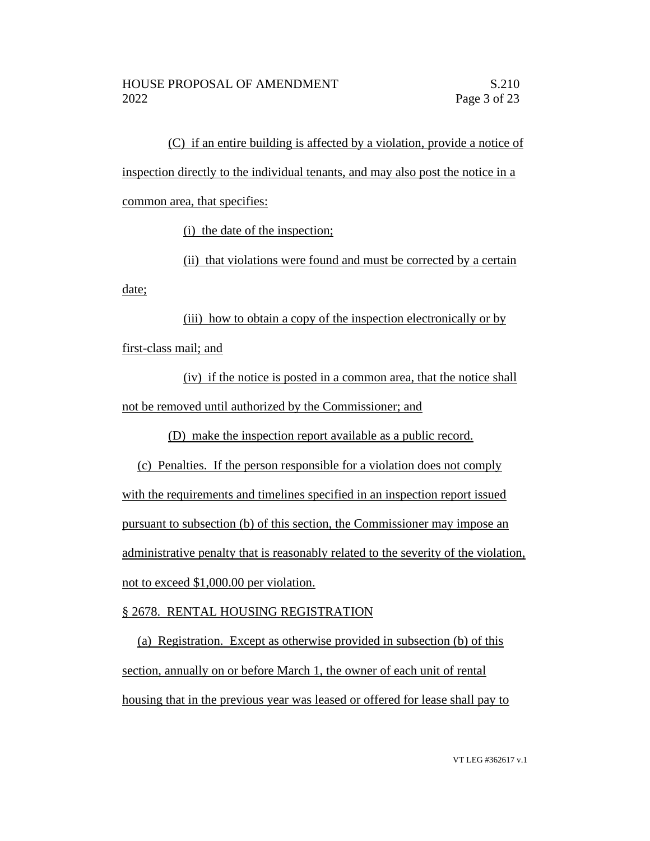(C) if an entire building is affected by a violation, provide a notice of inspection directly to the individual tenants, and may also post the notice in a common area, that specifies:

(i) the date of the inspection;

(ii) that violations were found and must be corrected by a certain date;

(iii) how to obtain a copy of the inspection electronically or by first-class mail; and

(iv) if the notice is posted in a common area, that the notice shall not be removed until authorized by the Commissioner; and

(D) make the inspection report available as a public record.

(c) Penalties. If the person responsible for a violation does not comply with the requirements and timelines specified in an inspection report issued pursuant to subsection (b) of this section, the Commissioner may impose an administrative penalty that is reasonably related to the severity of the violation, not to exceed \$1,000.00 per violation.

## § 2678. RENTAL HOUSING REGISTRATION

(a) Registration. Except as otherwise provided in subsection (b) of this section, annually on or before March 1, the owner of each unit of rental housing that in the previous year was leased or offered for lease shall pay to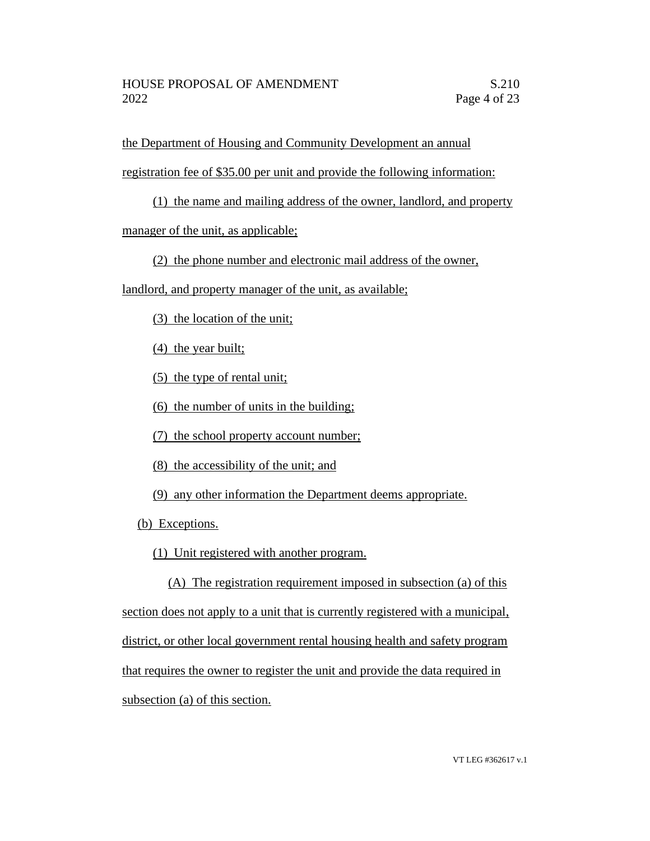the Department of Housing and Community Development an annual

registration fee of \$35.00 per unit and provide the following information:

(1) the name and mailing address of the owner, landlord, and property

manager of the unit, as applicable;

(2) the phone number and electronic mail address of the owner,

landlord, and property manager of the unit, as available;

(3) the location of the unit;

(4) the year built;

(5) the type of rental unit;

(6) the number of units in the building;

(7) the school property account number;

(8) the accessibility of the unit; and

(9) any other information the Department deems appropriate.

(b) Exceptions.

(1) Unit registered with another program.

(A) The registration requirement imposed in subsection (a) of this section does not apply to a unit that is currently registered with a municipal, district, or other local government rental housing health and safety program that requires the owner to register the unit and provide the data required in subsection (a) of this section.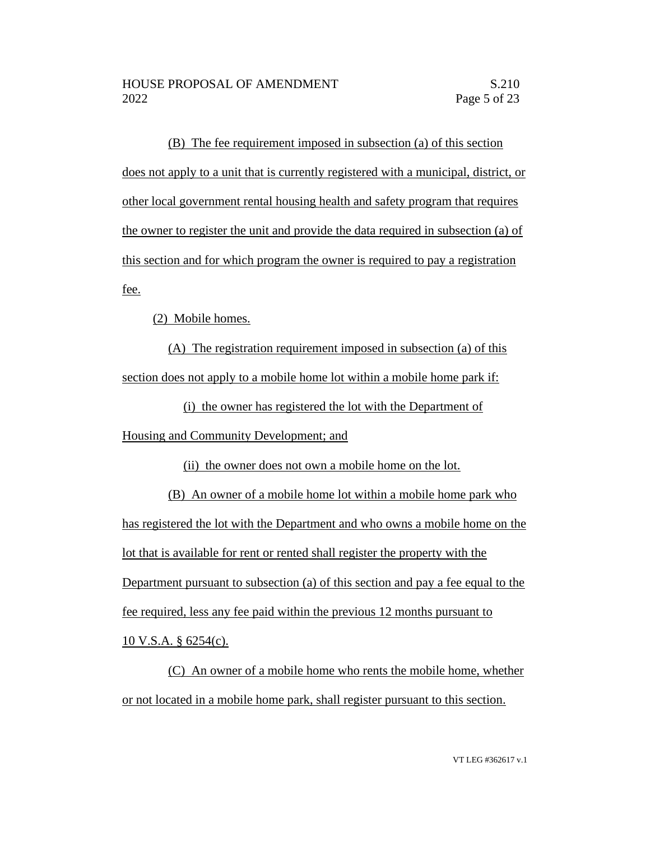(B) The fee requirement imposed in subsection (a) of this section does not apply to a unit that is currently registered with a municipal, district, or other local government rental housing health and safety program that requires the owner to register the unit and provide the data required in subsection (a) of this section and for which program the owner is required to pay a registration fee.

(2) Mobile homes.

(A) The registration requirement imposed in subsection (a) of this section does not apply to a mobile home lot within a mobile home park if:

(i) the owner has registered the lot with the Department of Housing and Community Development; and

(ii) the owner does not own a mobile home on the lot.

(B) An owner of a mobile home lot within a mobile home park who has registered the lot with the Department and who owns a mobile home on the lot that is available for rent or rented shall register the property with the Department pursuant to subsection (a) of this section and pay a fee equal to the fee required, less any fee paid within the previous 12 months pursuant to 10 V.S.A. § 6254(c).

(C) An owner of a mobile home who rents the mobile home, whether or not located in a mobile home park, shall register pursuant to this section.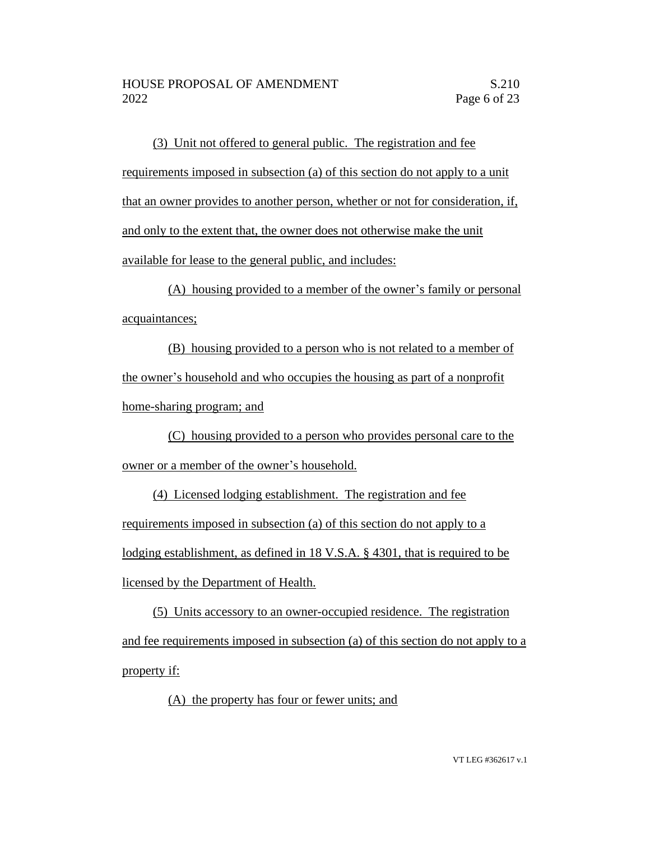(3) Unit not offered to general public. The registration and fee requirements imposed in subsection (a) of this section do not apply to a unit that an owner provides to another person, whether or not for consideration, if, and only to the extent that, the owner does not otherwise make the unit available for lease to the general public, and includes:

(A) housing provided to a member of the owner's family or personal acquaintances;

(B) housing provided to a person who is not related to a member of the owner's household and who occupies the housing as part of a nonprofit home-sharing program; and

(C) housing provided to a person who provides personal care to the owner or a member of the owner's household.

(4) Licensed lodging establishment. The registration and fee requirements imposed in subsection (a) of this section do not apply to a lodging establishment, as defined in 18 V.S.A. § 4301, that is required to be licensed by the Department of Health.

(5) Units accessory to an owner-occupied residence. The registration and fee requirements imposed in subsection (a) of this section do not apply to a property if:

(A) the property has four or fewer units; and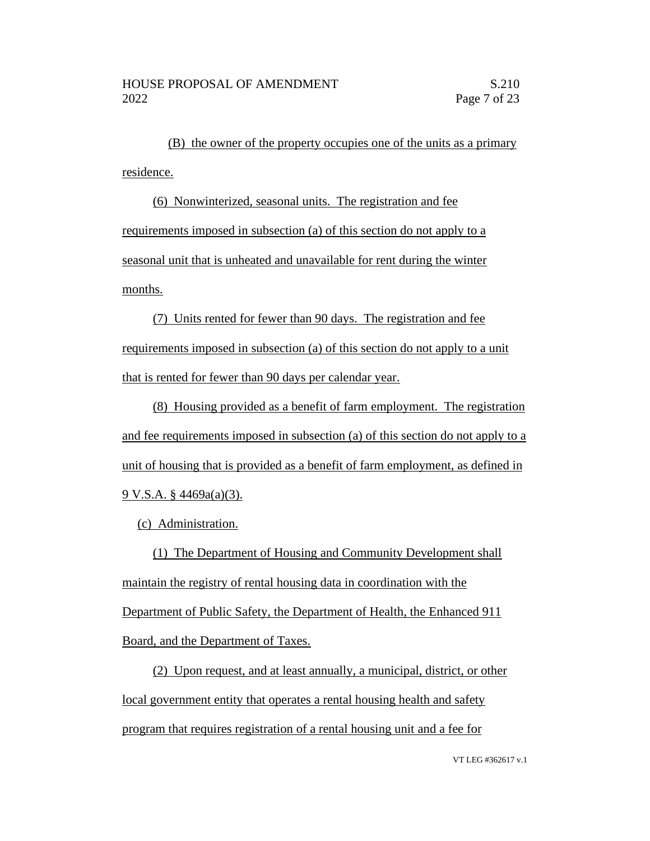(B) the owner of the property occupies one of the units as a primary residence.

(6) Nonwinterized, seasonal units. The registration and fee requirements imposed in subsection (a) of this section do not apply to a seasonal unit that is unheated and unavailable for rent during the winter months.

(7) Units rented for fewer than 90 days. The registration and fee requirements imposed in subsection (a) of this section do not apply to a unit that is rented for fewer than 90 days per calendar year.

(8) Housing provided as a benefit of farm employment. The registration and fee requirements imposed in subsection (a) of this section do not apply to a unit of housing that is provided as a benefit of farm employment, as defined in 9 V.S.A. § 4469a(a)(3).

(c) Administration.

(1) The Department of Housing and Community Development shall maintain the registry of rental housing data in coordination with the Department of Public Safety, the Department of Health, the Enhanced 911 Board, and the Department of Taxes.

(2) Upon request, and at least annually, a municipal, district, or other local government entity that operates a rental housing health and safety program that requires registration of a rental housing unit and a fee for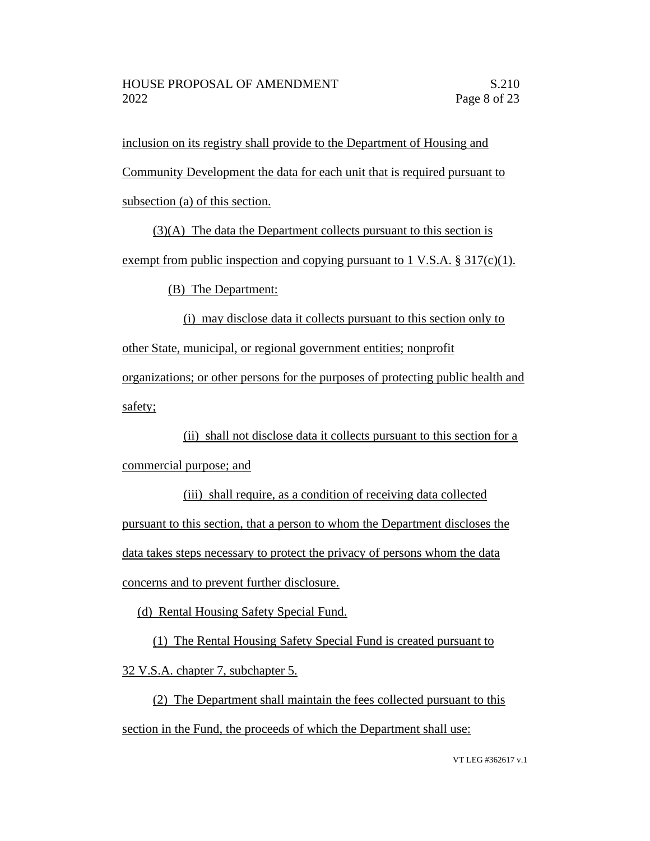inclusion on its registry shall provide to the Department of Housing and Community Development the data for each unit that is required pursuant to subsection (a) of this section.

(3)(A) The data the Department collects pursuant to this section is exempt from public inspection and copying pursuant to 1 V.S.A.  $\S 317(c)(1)$ .

(B) The Department:

(i) may disclose data it collects pursuant to this section only to other State, municipal, or regional government entities; nonprofit organizations; or other persons for the purposes of protecting public health and safety;

(ii) shall not disclose data it collects pursuant to this section for a commercial purpose; and

(iii) shall require, as a condition of receiving data collected pursuant to this section, that a person to whom the Department discloses the data takes steps necessary to protect the privacy of persons whom the data concerns and to prevent further disclosure.

(d) Rental Housing Safety Special Fund.

(1) The Rental Housing Safety Special Fund is created pursuant to 32 V.S.A. chapter 7, subchapter 5.

(2) The Department shall maintain the fees collected pursuant to this section in the Fund, the proceeds of which the Department shall use: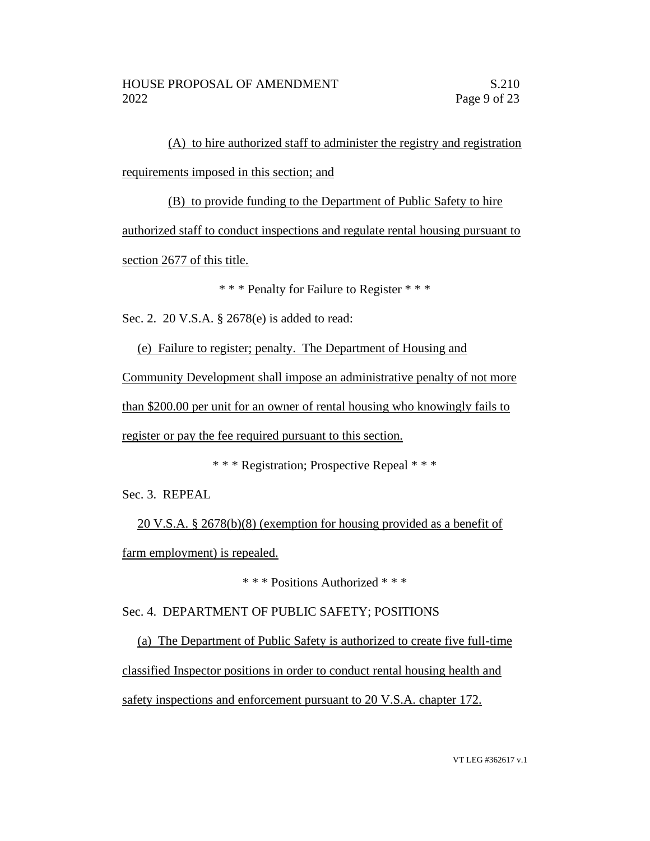(A) to hire authorized staff to administer the registry and registration requirements imposed in this section; and

(B) to provide funding to the Department of Public Safety to hire authorized staff to conduct inspections and regulate rental housing pursuant to section 2677 of this title.

\* \* \* Penalty for Failure to Register \* \* \*

Sec. 2. 20 V.S.A. § 2678(e) is added to read:

(e) Failure to register; penalty. The Department of Housing and Community Development shall impose an administrative penalty of not more than \$200.00 per unit for an owner of rental housing who knowingly fails to register or pay the fee required pursuant to this section.

\* \* \* Registration; Prospective Repeal \* \* \*

Sec. 3. REPEAL

20 V.S.A. § 2678(b)(8) (exemption for housing provided as a benefit of farm employment) is repealed.

\* \* \* Positions Authorized \* \* \*

Sec. 4. DEPARTMENT OF PUBLIC SAFETY; POSITIONS

(a) The Department of Public Safety is authorized to create five full-time classified Inspector positions in order to conduct rental housing health and safety inspections and enforcement pursuant to 20 V.S.A. chapter 172.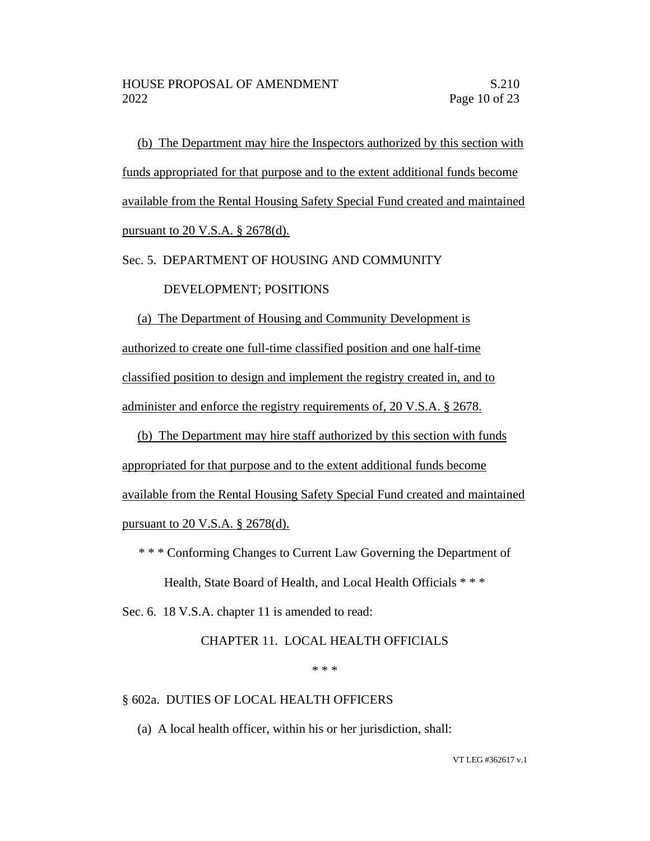(b) The Department may hire the Inspectors authorized by this section with funds appropriated for that purpose and to the extent additional funds become available from the Rental Housing Safety Special Fund created and maintained pursuant to 20 V.S.A. § 2678(d).

Sec. 5. DEPARTMENT OF HOUSING AND COMMUNITY

### DEVELOPMENT; POSITIONS

(a) The Department of Housing and Community Development is authorized to create one full-time classified position and one half-time classified position to design and implement the registry created in, and to administer and enforce the registry requirements of, 20 V.S.A. § 2678.

(b) The Department may hire staff authorized by this section with funds appropriated for that purpose and to the extent additional funds become available from the Rental Housing Safety Special Fund created and maintained pursuant to 20 V.S.A. § 2678(d).

\* \* \* Conforming Changes to Current Law Governing the Department of

Health, State Board of Health, and Local Health Officials \* \* \*

Sec. 6. 18 V.S.A. chapter 11 is amended to read:

## CHAPTER 11. LOCAL HEALTH OFFICIALS

#### \* \* \*

## § 602a. DUTIES OF LOCAL HEALTH OFFICERS

(a) A local health officer, within his or her jurisdiction, shall: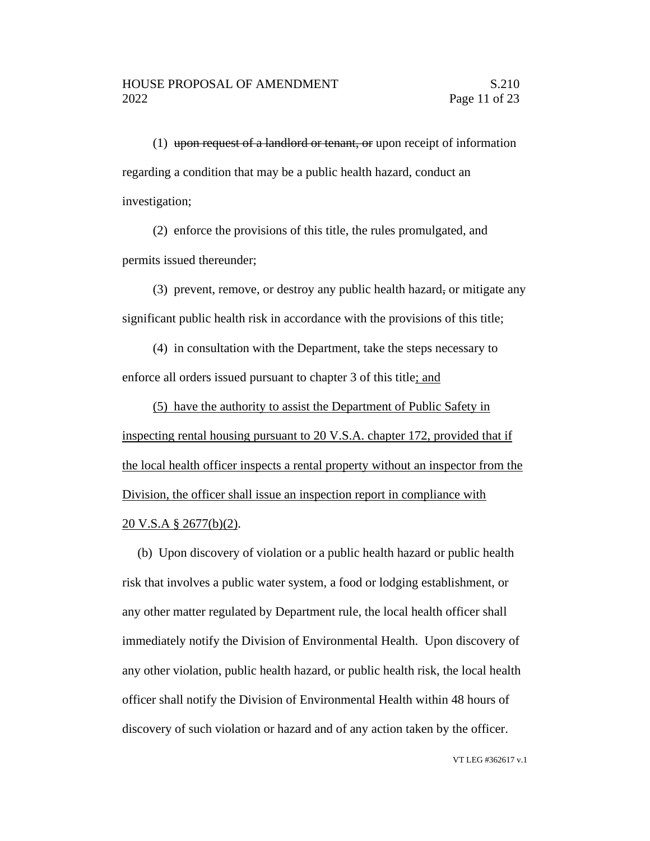(1) upon request of a landlord or tenant, or upon receipt of information regarding a condition that may be a public health hazard, conduct an investigation;

(2) enforce the provisions of this title, the rules promulgated, and permits issued thereunder;

(3) prevent, remove, or destroy any public health hazard, or mitigate any significant public health risk in accordance with the provisions of this title;

(4) in consultation with the Department, take the steps necessary to enforce all orders issued pursuant to chapter 3 of this title; and

(5) have the authority to assist the Department of Public Safety in inspecting rental housing pursuant to 20 V.S.A. chapter 172, provided that if the local health officer inspects a rental property without an inspector from the Division, the officer shall issue an inspection report in compliance with 20 V.S.A § 2677(b)(2).

(b) Upon discovery of violation or a public health hazard or public health risk that involves a public water system, a food or lodging establishment, or any other matter regulated by Department rule, the local health officer shall immediately notify the Division of Environmental Health. Upon discovery of any other violation, public health hazard, or public health risk, the local health officer shall notify the Division of Environmental Health within 48 hours of discovery of such violation or hazard and of any action taken by the officer.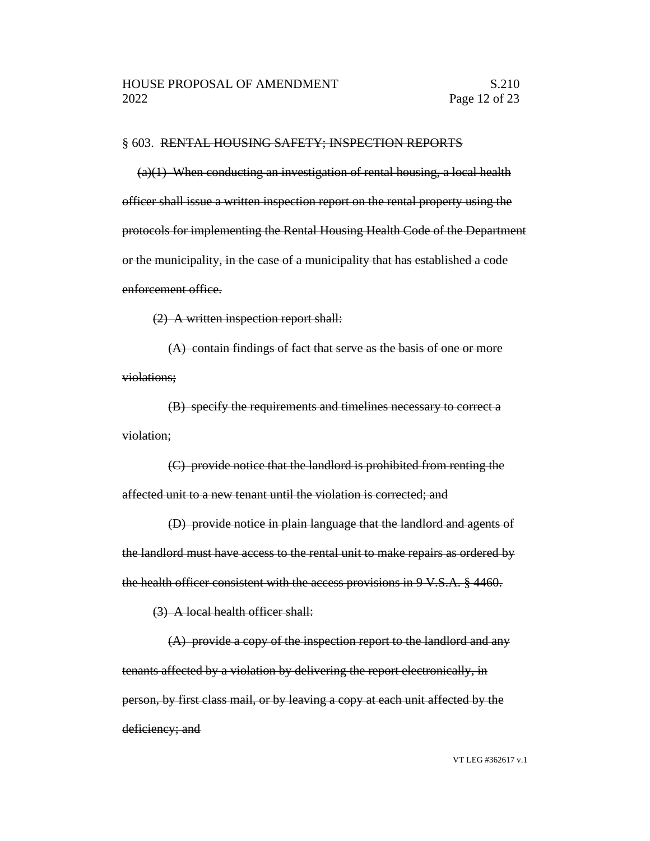### § 603. RENTAL HOUSING SAFETY; INSPECTION REPORTS

 $(a)(1)$  When conducting an investigation of rental housing, a local health officer shall issue a written inspection report on the rental property using the protocols for implementing the Rental Housing Health Code of the Department or the municipality, in the case of a municipality that has established a code enforcement office.

(2) A written inspection report shall:

(A) contain findings of fact that serve as the basis of one or more violations;

(B) specify the requirements and timelines necessary to correct a violation;

(C) provide notice that the landlord is prohibited from renting the affected unit to a new tenant until the violation is corrected; and

(D) provide notice in plain language that the landlord and agents of the landlord must have access to the rental unit to make repairs as ordered by the health officer consistent with the access provisions in 9 V.S.A. § 4460.

(3) A local health officer shall:

(A) provide a copy of the inspection report to the landlord and any tenants affected by a violation by delivering the report electronically, in person, by first class mail, or by leaving a copy at each unit affected by the deficiency; and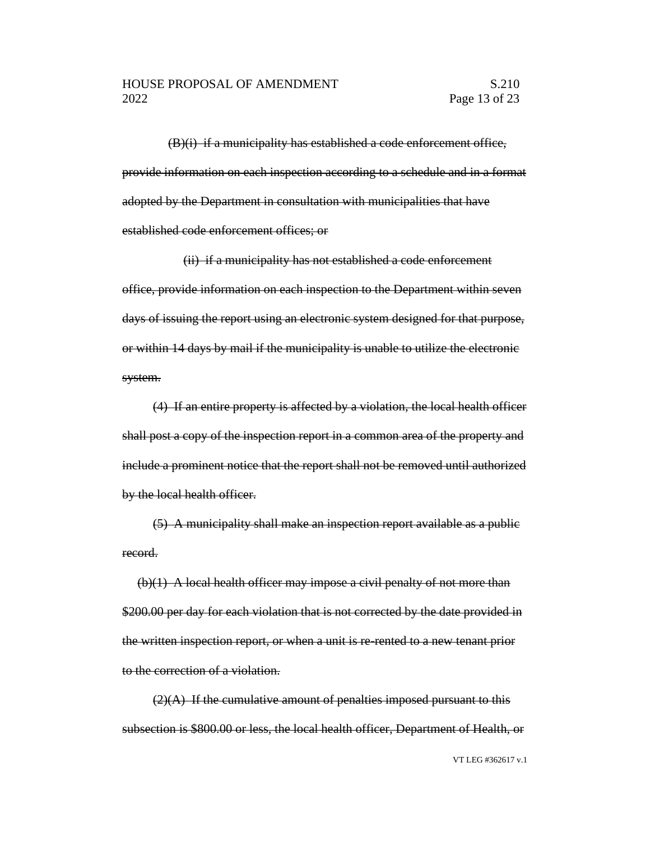$(B)(i)$  if a municipality has established a code enforcement office, provide information on each inspection according to a schedule and in a format adopted by the Department in consultation with municipalities that have established code enforcement offices; or

(ii) if a municipality has not established a code enforcement office, provide information on each inspection to the Department within seven days of issuing the report using an electronic system designed for that purpose, or within 14 days by mail if the municipality is unable to utilize the electronic system.

(4) If an entire property is affected by a violation, the local health officer shall post a copy of the inspection report in a common area of the property and include a prominent notice that the report shall not be removed until authorized by the local health officer.

(5) A municipality shall make an inspection report available as a public record.

(b)(1) A local health officer may impose a civil penalty of not more than \$200.00 per day for each violation that is not corrected by the date provided in the written inspection report, or when a unit is re-rented to a new tenant prior to the correction of a violation.

 $(2)(A)$  If the cumulative amount of penalties imposed pursuant to this subsection is \$800.00 or less, the local health officer, Department of Health, or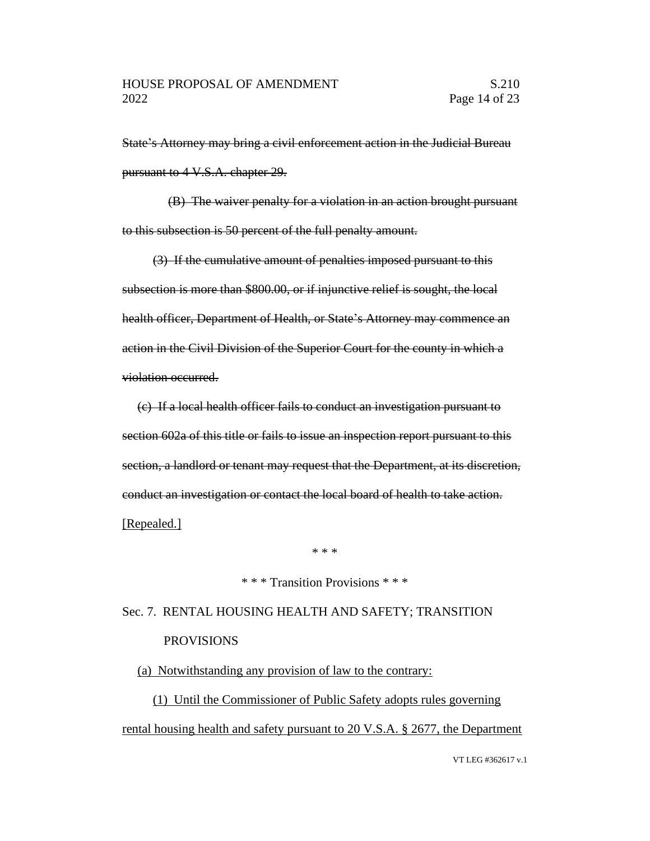State's Attorney may bring a civil enforcement action in the Judicial Bureau pursuant to 4 V.S.A. chapter 29.

(B) The waiver penalty for a violation in an action brought pursuant to this subsection is 50 percent of the full penalty amount.

(3) If the cumulative amount of penalties imposed pursuant to this subsection is more than \$800.00, or if injunctive relief is sought, the local health officer, Department of Health, or State's Attorney may commence an action in the Civil Division of the Superior Court for the county in which a violation occurred.

(c) If a local health officer fails to conduct an investigation pursuant to section 602a of this title or fails to issue an inspection report pursuant to this section, a landlord or tenant may request that the Department, at its discretion, conduct an investigation or contact the local board of health to take action. [Repealed.]

\* \* \*

#### \* \* \* Transition Provisions \* \* \*

# Sec. 7. RENTAL HOUSING HEALTH AND SAFETY; TRANSITION PROVISIONS

(a) Notwithstanding any provision of law to the contrary:

(1) Until the Commissioner of Public Safety adopts rules governing rental housing health and safety pursuant to 20 V.S.A. § 2677, the Department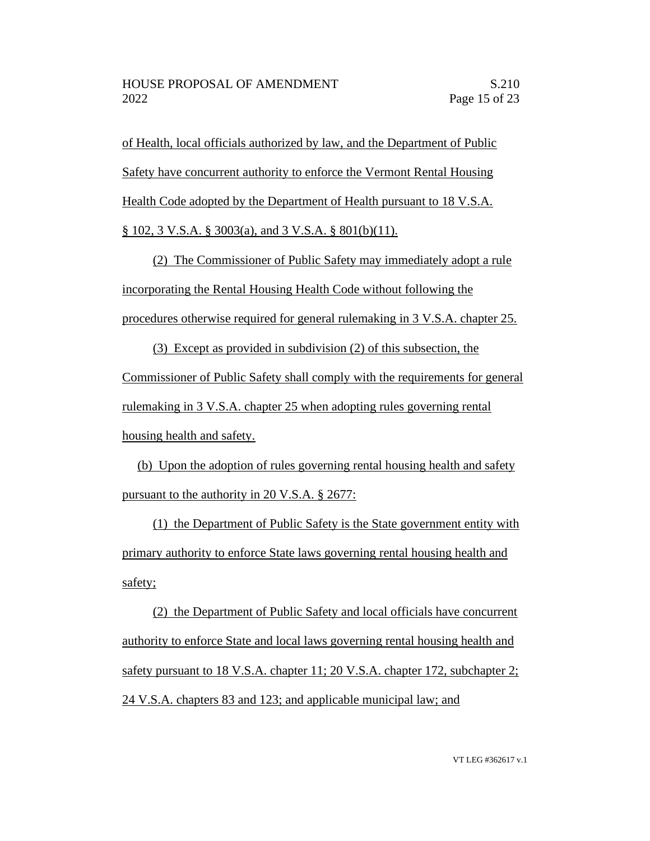of Health, local officials authorized by law, and the Department of Public

Safety have concurrent authority to enforce the Vermont Rental Housing

Health Code adopted by the Department of Health pursuant to 18 V.S.A.

 $\S$  102, 3 V.S.A.  $\S$  3003(a), and 3 V.S.A.  $\S$  801(b)(11).

(2) The Commissioner of Public Safety may immediately adopt a rule incorporating the Rental Housing Health Code without following the procedures otherwise required for general rulemaking in 3 V.S.A. chapter 25.

(3) Except as provided in subdivision (2) of this subsection, the Commissioner of Public Safety shall comply with the requirements for general rulemaking in 3 V.S.A. chapter 25 when adopting rules governing rental housing health and safety.

(b) Upon the adoption of rules governing rental housing health and safety pursuant to the authority in 20 V.S.A. § 2677:

(1) the Department of Public Safety is the State government entity with primary authority to enforce State laws governing rental housing health and safety;

(2) the Department of Public Safety and local officials have concurrent authority to enforce State and local laws governing rental housing health and safety pursuant to 18 V.S.A. chapter 11; 20 V.S.A. chapter 172, subchapter 2; 24 V.S.A. chapters 83 and 123; and applicable municipal law; and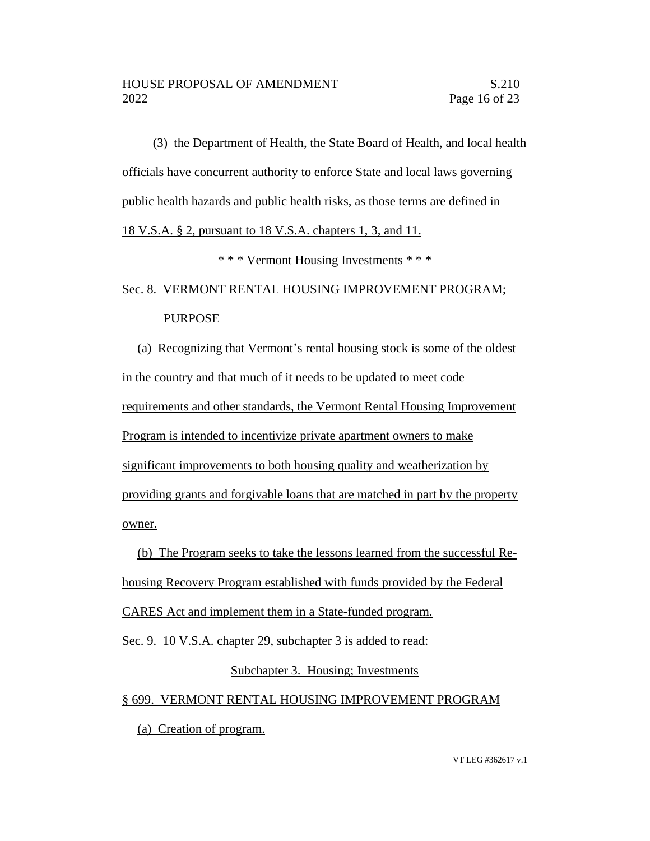(3) the Department of Health, the State Board of Health, and local health officials have concurrent authority to enforce State and local laws governing public health hazards and public health risks, as those terms are defined in

18 V.S.A. § 2, pursuant to 18 V.S.A. chapters 1, 3, and 11.

\* \* \* Vermont Housing Investments \* \* \*

# Sec. 8. VERMONT RENTAL HOUSING IMPROVEMENT PROGRAM; PURPOSE

(a) Recognizing that Vermont's rental housing stock is some of the oldest in the country and that much of it needs to be updated to meet code requirements and other standards, the Vermont Rental Housing Improvement Program is intended to incentivize private apartment owners to make significant improvements to both housing quality and weatherization by providing grants and forgivable loans that are matched in part by the property owner.

(b) The Program seeks to take the lessons learned from the successful Rehousing Recovery Program established with funds provided by the Federal CARES Act and implement them in a State-funded program.

Sec. 9. 10 V.S.A. chapter 29, subchapter 3 is added to read:

# Subchapter 3. Housing; Investments

# § 699. VERMONT RENTAL HOUSING IMPROVEMENT PROGRAM

(a) Creation of program.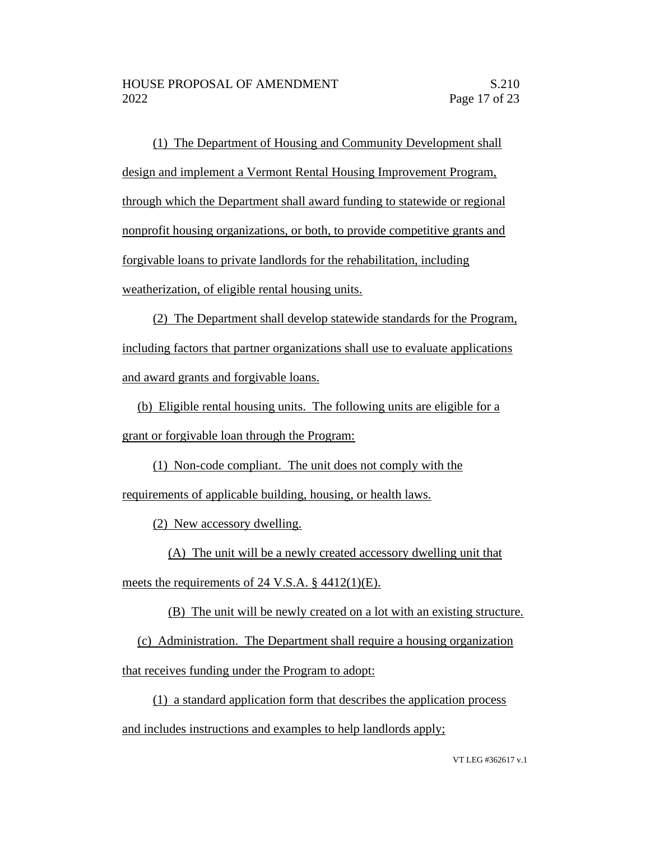(1) The Department of Housing and Community Development shall design and implement a Vermont Rental Housing Improvement Program, through which the Department shall award funding to statewide or regional nonprofit housing organizations, or both, to provide competitive grants and forgivable loans to private landlords for the rehabilitation, including weatherization, of eligible rental housing units.

(2) The Department shall develop statewide standards for the Program, including factors that partner organizations shall use to evaluate applications and award grants and forgivable loans.

(b) Eligible rental housing units. The following units are eligible for a grant or forgivable loan through the Program:

(1) Non-code compliant. The unit does not comply with the requirements of applicable building, housing, or health laws.

(2) New accessory dwelling.

(A) The unit will be a newly created accessory dwelling unit that

meets the requirements of 24 V.S.A. § 4412(1)(E).

(B) The unit will be newly created on a lot with an existing structure.

(c) Administration. The Department shall require a housing organization that receives funding under the Program to adopt:

(1) a standard application form that describes the application process and includes instructions and examples to help landlords apply;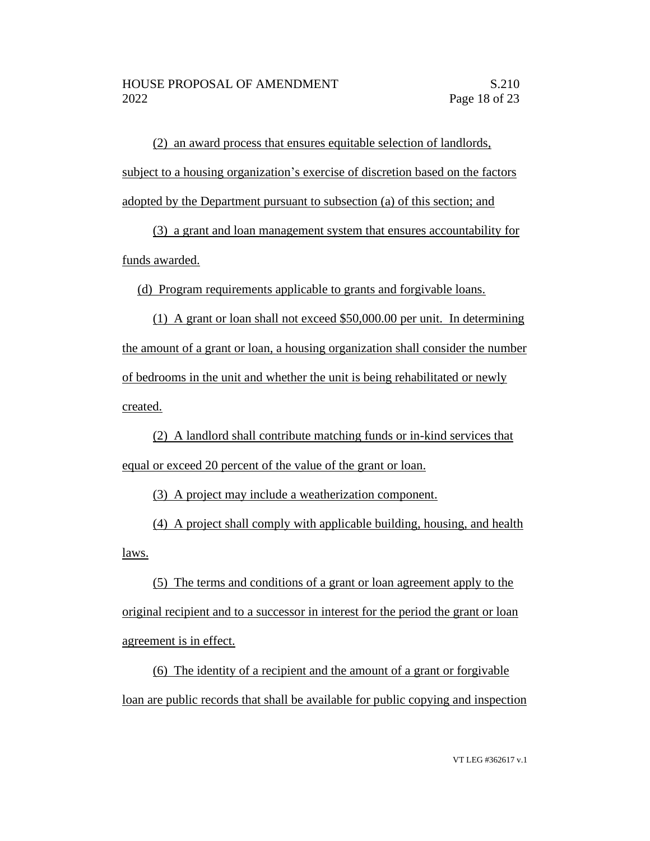(2) an award process that ensures equitable selection of landlords, subject to a housing organization's exercise of discretion based on the factors adopted by the Department pursuant to subsection (a) of this section; and

(3) a grant and loan management system that ensures accountability for funds awarded.

(d) Program requirements applicable to grants and forgivable loans.

(1) A grant or loan shall not exceed \$50,000.00 per unit. In determining the amount of a grant or loan, a housing organization shall consider the number of bedrooms in the unit and whether the unit is being rehabilitated or newly created.

(2) A landlord shall contribute matching funds or in-kind services that equal or exceed 20 percent of the value of the grant or loan.

(3) A project may include a weatherization component.

(4) A project shall comply with applicable building, housing, and health laws.

(5) The terms and conditions of a grant or loan agreement apply to the original recipient and to a successor in interest for the period the grant or loan agreement is in effect.

(6) The identity of a recipient and the amount of a grant or forgivable loan are public records that shall be available for public copying and inspection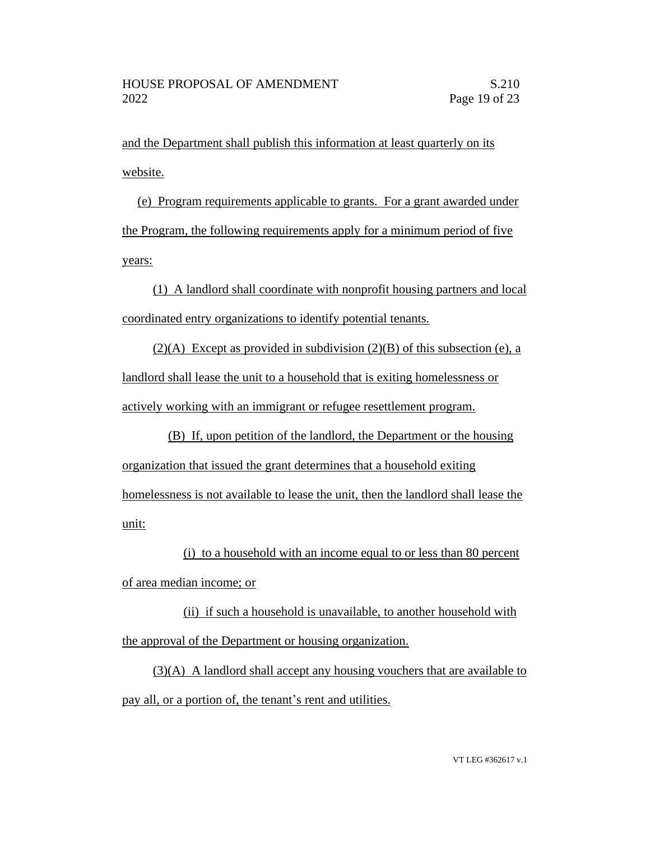and the Department shall publish this information at least quarterly on its website.

(e) Program requirements applicable to grants. For a grant awarded under the Program, the following requirements apply for a minimum period of five years:

(1) A landlord shall coordinate with nonprofit housing partners and local coordinated entry organizations to identify potential tenants.

 $(2)(A)$  Except as provided in subdivision  $(2)(B)$  of this subsection (e), a landlord shall lease the unit to a household that is exiting homelessness or actively working with an immigrant or refugee resettlement program.

(B) If, upon petition of the landlord, the Department or the housing organization that issued the grant determines that a household exiting homelessness is not available to lease the unit, then the landlord shall lease the unit:

(i) to a household with an income equal to or less than 80 percent of area median income; or

(ii) if such a household is unavailable, to another household with the approval of the Department or housing organization.

 $(3)(A)$  A landlord shall accept any housing vouchers that are available to pay all, or a portion of, the tenant's rent and utilities.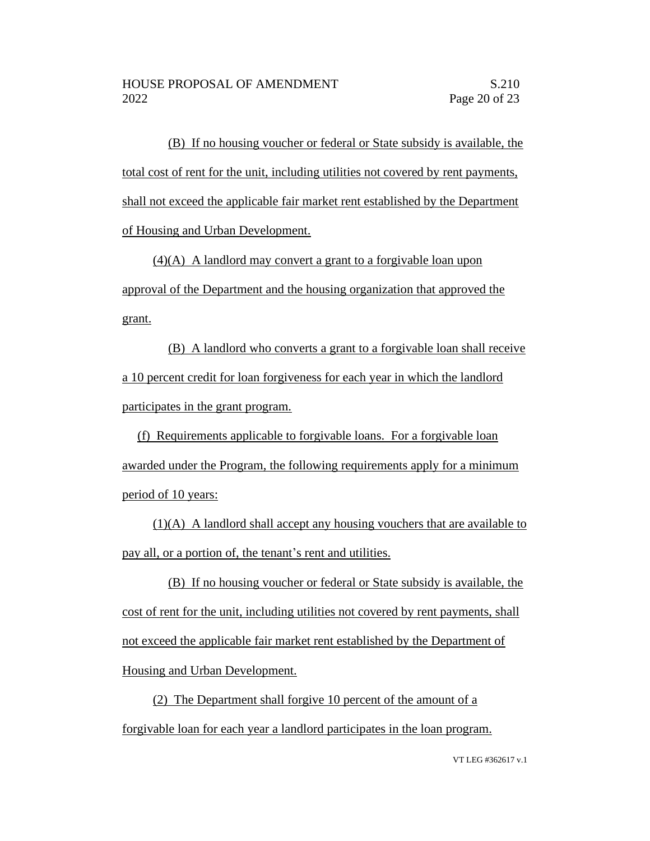(B) If no housing voucher or federal or State subsidy is available, the total cost of rent for the unit, including utilities not covered by rent payments, shall not exceed the applicable fair market rent established by the Department of Housing and Urban Development.

(4)(A) A landlord may convert a grant to a forgivable loan upon approval of the Department and the housing organization that approved the grant.

(B) A landlord who converts a grant to a forgivable loan shall receive a 10 percent credit for loan forgiveness for each year in which the landlord participates in the grant program.

(f) Requirements applicable to forgivable loans. For a forgivable loan awarded under the Program, the following requirements apply for a minimum period of 10 years:

(1)(A) A landlord shall accept any housing vouchers that are available to pay all, or a portion of, the tenant's rent and utilities.

(B) If no housing voucher or federal or State subsidy is available, the cost of rent for the unit, including utilities not covered by rent payments, shall not exceed the applicable fair market rent established by the Department of Housing and Urban Development.

(2) The Department shall forgive 10 percent of the amount of a forgivable loan for each year a landlord participates in the loan program.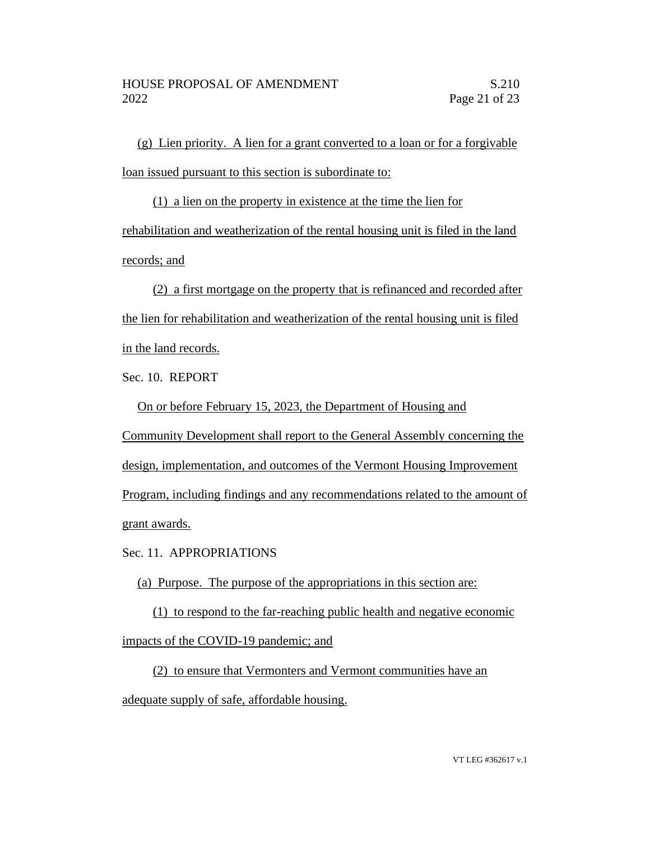(g) Lien priority. A lien for a grant converted to a loan or for a forgivable loan issued pursuant to this section is subordinate to:

(1) a lien on the property in existence at the time the lien for rehabilitation and weatherization of the rental housing unit is filed in the land records; and

(2) a first mortgage on the property that is refinanced and recorded after the lien for rehabilitation and weatherization of the rental housing unit is filed in the land records.

Sec. 10. REPORT

On or before February 15, 2023, the Department of Housing and

Community Development shall report to the General Assembly concerning the

design, implementation, and outcomes of the Vermont Housing Improvement

Program, including findings and any recommendations related to the amount of grant awards.

Sec. 11. APPROPRIATIONS

(a) Purpose. The purpose of the appropriations in this section are:

(1) to respond to the far-reaching public health and negative economic impacts of the COVID-19 pandemic; and

(2) to ensure that Vermonters and Vermont communities have an adequate supply of safe, affordable housing.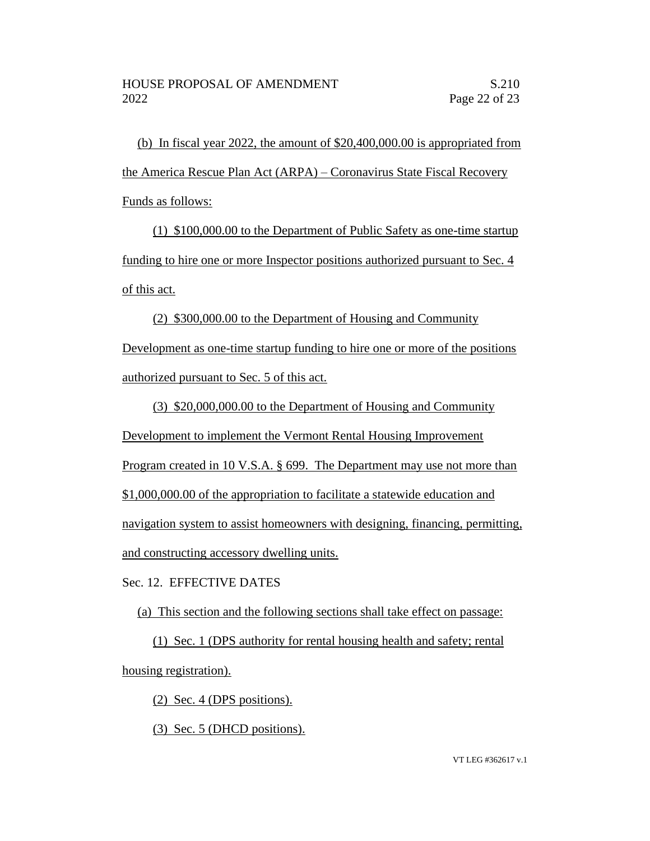(b) In fiscal year 2022, the amount of \$20,400,000.00 is appropriated from the America Rescue Plan Act (ARPA) – Coronavirus State Fiscal Recovery Funds as follows:

(1) \$100,000.00 to the Department of Public Safety as one-time startup funding to hire one or more Inspector positions authorized pursuant to Sec. 4 of this act.

(2) \$300,000.00 to the Department of Housing and Community Development as one-time startup funding to hire one or more of the positions authorized pursuant to Sec. 5 of this act.

(3) \$20,000,000.00 to the Department of Housing and Community Development to implement the Vermont Rental Housing Improvement Program created in 10 V.S.A. § 699. The Department may use not more than \$1,000,000.00 of the appropriation to facilitate a statewide education and navigation system to assist homeowners with designing, financing, permitting, and constructing accessory dwelling units.

Sec. 12. EFFECTIVE DATES

(a) This section and the following sections shall take effect on passage:

(1) Sec. 1 (DPS authority for rental housing health and safety; rental housing registration).

(2) Sec. 4 (DPS positions).

(3) Sec. 5 (DHCD positions).